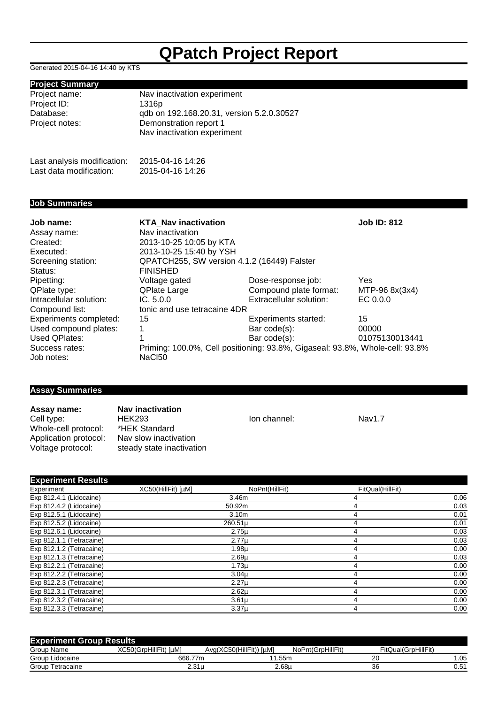# **QPatch Project Report**

Generated 2015-04-16 14:40 by KTS

## **Project Summary**

| Project name:               | Nav inactivation experiment               |
|-----------------------------|-------------------------------------------|
| Project ID:                 | 1316p                                     |
| Database:                   | qdb on 192.168.20.31, version 5.2.0.30527 |
| Project notes:              | Demonstration report 1                    |
|                             | Nav inactivation experiment               |
|                             |                                           |
| Last analysis modification: | 2015-04-16 14:26                          |
| Last data modification:     | 2015-04-16 14:26                          |

### **Job Summaries**

| Job name:                     | <b>KTA Nav inactivation</b>                                                  |                         | <b>Job ID: 812</b> |  |
|-------------------------------|------------------------------------------------------------------------------|-------------------------|--------------------|--|
| Assay name:                   | Nav inactivation                                                             |                         |                    |  |
| Created:                      | 2013-10-25 10:05 by KTA                                                      |                         |                    |  |
| Executed:                     | 2013-10-25 15:40 by YSH                                                      |                         |                    |  |
| Screening station:<br>Status: | QPATCH255, SW version 4.1.2 (16449) Falster<br><b>FINISHED</b>               |                         |                    |  |
| Pipetting:                    | Voltage gated                                                                | Dose-response job:      | Yes                |  |
| QPlate type:                  | QPlate Large                                                                 | Compound plate format:  | MTP-96 8x(3x4)     |  |
| Intracellular solution:       | IC. 5.0.0                                                                    | Extracellular solution: | EC 0.0.0           |  |
| Compound list:                | tonic and use tetracaine 4DR                                                 |                         |                    |  |
| Experiments completed:        | 15                                                                           | Experiments started:    | 15                 |  |
| Used compound plates:         |                                                                              | Bar code(s):            | 00000              |  |
| Used QPlates:                 |                                                                              | Bar code(s):            | 01075130013441     |  |
| Success rates:                | Priming: 100.0%, Cell positioning: 93.8%, Gigaseal: 93.8%, Whole-cell: 93.8% |                         |                    |  |
| Job notes:                    | NaC <sub>150</sub>                                                           |                         |                    |  |

### **Assay Summaries**

**Assay name: Nav inactivation**<br>Cell type: **HEK293** Whole-cell protocol: \*HEK Standard<br>Application protocol: Nav slow inactivation Application protocol:<br>Voltage protocol:

HEK293 **Ion channel:** Nav1.7<br> **EX** Standard **National Standard** steady state inactivation

| <b>Experiment Results</b> |                    |                   |                  |      |  |
|---------------------------|--------------------|-------------------|------------------|------|--|
| Experiment                | XC50(HillFit) [µM] | NoPnt(HillFit)    | FitQual(HillFit) |      |  |
| Exp 812.4.1 (Lidocaine)   |                    | 3.46m             |                  | 0.06 |  |
| Exp 812.4.2 (Lidocaine)   |                    | 50.92m            |                  | 0.03 |  |
| Exp 812.5.1 (Lidocaine)   |                    | 3.10 <sub>m</sub> |                  | 0.01 |  |
| Exp 812.5.2 (Lidocaine)   |                    | 260.51µ           |                  | 0.01 |  |
| Exp 812.6.1 (Lidocaine)   |                    | $2.75\mu$         |                  | 0.03 |  |
| Exp 812.1.1 (Tetracaine)  |                    | $2.77\mu$         |                  | 0.03 |  |
| Exp 812.1.2 (Tetracaine)  |                    | 1.98µ             |                  | 0.00 |  |
| Exp 812.1.3 (Tetracaine)  |                    | 2.69 <sub>µ</sub> |                  | 0.03 |  |
| Exp 812.2.1 (Tetracaine)  |                    | $1.73\mu$         |                  | 0.00 |  |
| Exp 812.2.2 (Tetracaine)  |                    | 3.04 <sub>µ</sub> |                  | 0.00 |  |
| Exp 812.2.3 (Tetracaine)  |                    | $2.27\mu$         |                  | 0.00 |  |
| Exp 812.3.1 (Tetracaine)  |                    | $2.62\mu$         |                  | 0.00 |  |
| Exp 812.3.2 (Tetracaine)  |                    | $3.61\mu$         |                  | 0.00 |  |
| Exp 812.3.3 (Tetracaine)  |                    | 3.37 <sub>µ</sub> |                  | 0.00 |  |

| J<br><b>Experiment Group Results</b> |                                |                            |                   |                     |      |  |  |  |
|--------------------------------------|--------------------------------|----------------------------|-------------------|---------------------|------|--|--|--|
| Group Name                           | XC50(GrpHillFit)<br><b>IuM</b> | Avg(XC50(HillFit))<br>[uM] | NoPnt(GrpHillFit) | FitQual(GrpHillFit) |      |  |  |  |
| Group<br>Lidocaine                   | 666.                           | 77m<br>.55m                |                   | o<br>zu             | . 05 |  |  |  |
| Group<br>Tetracaine                  | 2.31µ                          | 2.68L                      |                   | 36                  | 0.51 |  |  |  |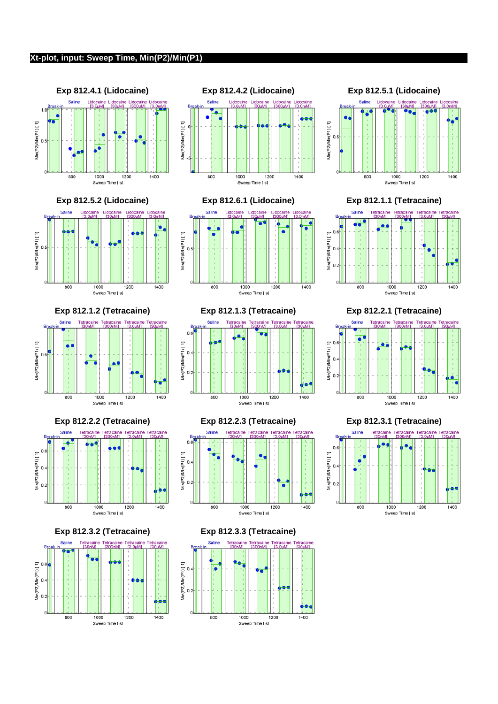### **Xt-plot, input: Sweep Time, Min(P2)/Min(P1)**







**Exp 812.5.2 (Lidocaine) Exp 812.6.1 (Lidocaine) Exp 812.1.1 (Tetracaine)**





**Exp 812.2.2 (Tetracaine) Exp 812.2.3 (Tetracaine) Exp 812.3.1 (Tetracaine)**







Sweep Time [ s]

1000

1200

1400

800















Lidocaine

Saline